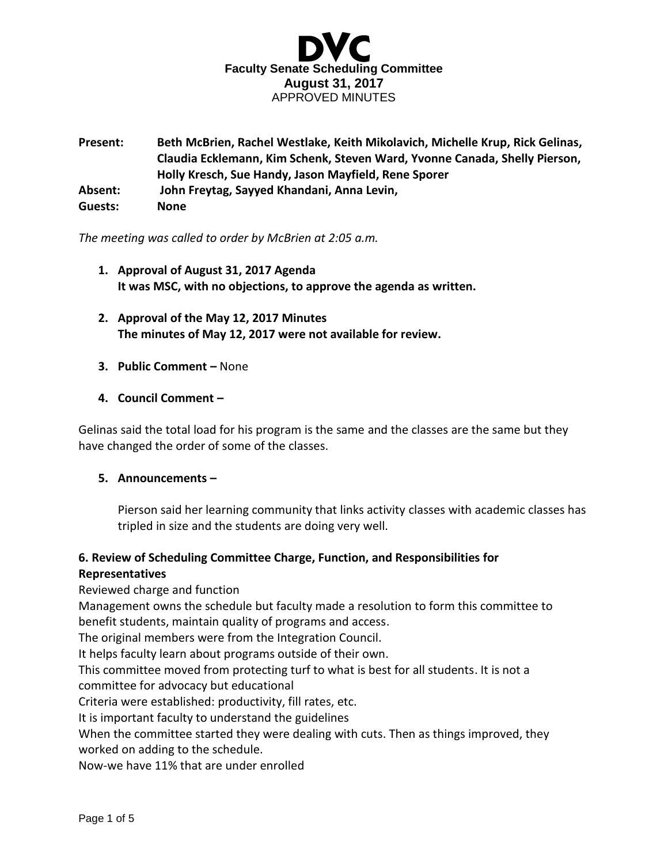

**Present: Beth McBrien, Rachel Westlake, Keith Mikolavich, Michelle Krup, Rick Gelinas, Claudia Ecklemann, Kim Schenk, Steven Ward, Yvonne Canada, Shelly Pierson, Holly Kresch, Sue Handy, Jason Mayfield, Rene Sporer Absent: John Freytag, Sayyed Khandani, Anna Levin, Guests: None**

*The meeting was called to order by McBrien at 2:05 a.m.*

- **1. Approval of August 31, 2017 Agenda It was MSC, with no objections, to approve the agenda as written.**
- **2. Approval of the May 12, 2017 Minutes The minutes of May 12, 2017 were not available for review.**
- **3. Public Comment –** None
- **4. Council Comment –**

Gelinas said the total load for his program is the same and the classes are the same but they have changed the order of some of the classes.

#### **5. Announcements –**

Pierson said her learning community that links activity classes with academic classes has tripled in size and the students are doing very well.

## **6. Review of Scheduling Committee Charge, Function, and Responsibilities for Representatives**

Reviewed charge and function

Management owns the schedule but faculty made a resolution to form this committee to benefit students, maintain quality of programs and access.

The original members were from the Integration Council.

It helps faculty learn about programs outside of their own.

This committee moved from protecting turf to what is best for all students. It is not a committee for advocacy but educational

Criteria were established: productivity, fill rates, etc.

It is important faculty to understand the guidelines

When the committee started they were dealing with cuts. Then as things improved, they worked on adding to the schedule.

Now-we have 11% that are under enrolled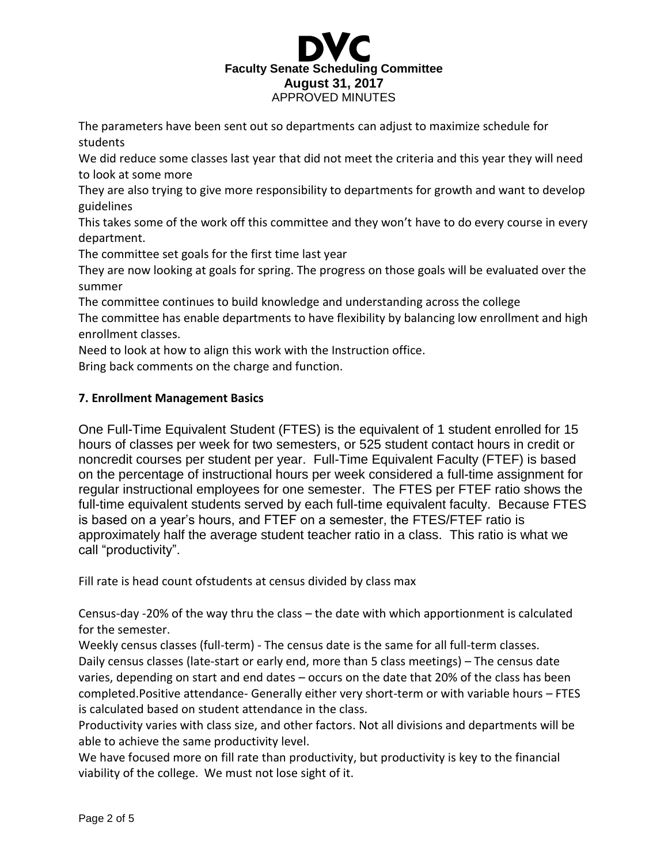

The parameters have been sent out so departments can adjust to maximize schedule for students

We did reduce some classes last year that did not meet the criteria and this year they will need to look at some more

They are also trying to give more responsibility to departments for growth and want to develop guidelines

This takes some of the work off this committee and they won't have to do every course in every department.

The committee set goals for the first time last year

They are now looking at goals for spring. The progress on those goals will be evaluated over the summer

The committee continues to build knowledge and understanding across the college

The committee has enable departments to have flexibility by balancing low enrollment and high enrollment classes.

Need to look at how to align this work with the Instruction office.

Bring back comments on the charge and function.

# **7. Enrollment Management Basics**

One Full-Time Equivalent Student (FTES) is the equivalent of 1 student enrolled for 15 hours of classes per week for two semesters, or 525 student contact hours in credit or noncredit courses per student per year. Full-Time Equivalent Faculty (FTEF) is based on the percentage of instructional hours per week considered a full-time assignment for regular instructional employees for one semester. The FTES per FTEF ratio shows the full-time equivalent students served by each full-time equivalent faculty. Because FTES is based on a year's hours, and FTEF on a semester, the FTES/FTEF ratio is approximately half the average student teacher ratio in a class. This ratio is what we call "productivity".

Fill rate is head count ofstudents at census divided by class max

Census-day -20% of the way thru the class – the date with which apportionment is calculated for the semester.

Weekly census classes (full-term) - The census date is the same for all full-term classes. Daily census classes (late-start or early end, more than 5 class meetings) – The census date varies, depending on start and end dates – occurs on the date that 20% of the class has been completed.Positive attendance- Generally either very short-term or with variable hours – FTES is calculated based on student attendance in the class.

Productivity varies with class size, and other factors. Not all divisions and departments will be able to achieve the same productivity level.

We have focused more on fill rate than productivity, but productivity is key to the financial viability of the college. We must not lose sight of it.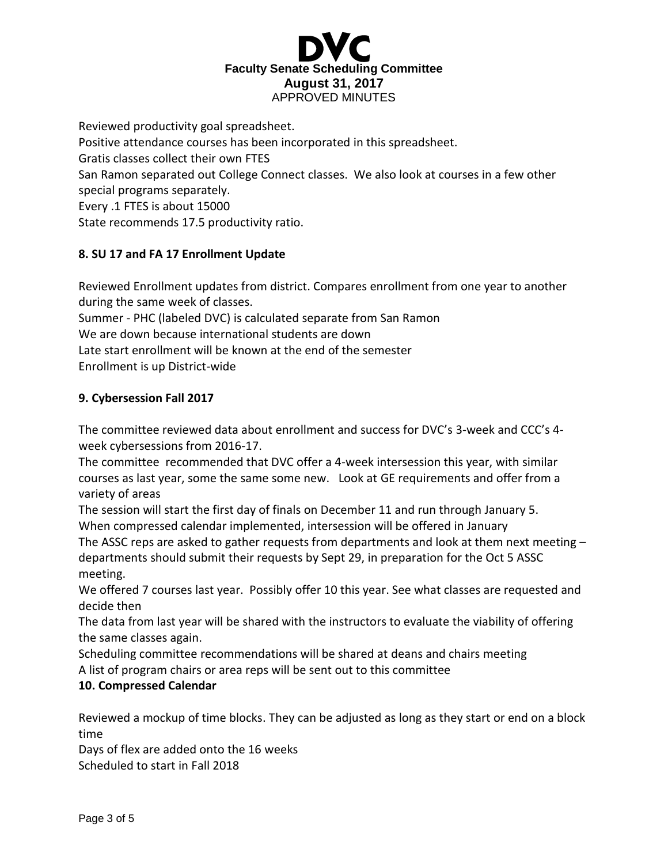

Reviewed productivity goal spreadsheet. Positive attendance courses has been incorporated in this spreadsheet. Gratis classes collect their own FTES San Ramon separated out College Connect classes. We also look at courses in a few other special programs separately. Every .1 FTES is about 15000 State recommends 17.5 productivity ratio.

# **8. SU 17 and FA 17 Enrollment Update**

Reviewed Enrollment updates from district. Compares enrollment from one year to another during the same week of classes.

Summer - PHC (labeled DVC) is calculated separate from San Ramon We are down because international students are down Late start enrollment will be known at the end of the semester

Enrollment is up District-wide

# **9. Cybersession Fall 2017**

The committee reviewed data about enrollment and success for DVC's 3-week and CCC's 4 week cybersessions from 2016-17.

The committee recommended that DVC offer a 4-week intersession this year, with similar courses as last year, some the same some new. Look at GE requirements and offer from a variety of areas

The session will start the first day of finals on December 11 and run through January 5. When compressed calendar implemented, intersession will be offered in January

The ASSC reps are asked to gather requests from departments and look at them next meeting – departments should submit their requests by Sept 29, in preparation for the Oct 5 ASSC meeting.

We offered 7 courses last year. Possibly offer 10 this year. See what classes are requested and decide then

The data from last year will be shared with the instructors to evaluate the viability of offering the same classes again.

Scheduling committee recommendations will be shared at deans and chairs meeting A list of program chairs or area reps will be sent out to this committee

# **10. Compressed Calendar**

Reviewed a mockup of time blocks. They can be adjusted as long as they start or end on a block time

Days of flex are added onto the 16 weeks Scheduled to start in Fall 2018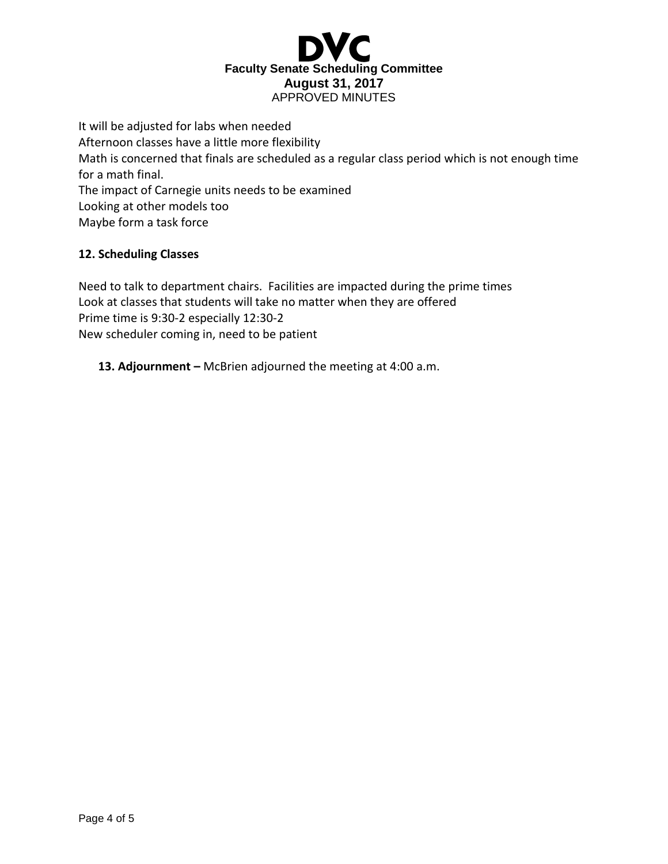

It will be adjusted for labs when needed Afternoon classes have a little more flexibility Math is concerned that finals are scheduled as a regular class period which is not enough time for a math final. The impact of Carnegie units needs to be examined Looking at other models too Maybe form a task force

## **12. Scheduling Classes**

Need to talk to department chairs. Facilities are impacted during the prime times Look at classes that students will take no matter when they are offered Prime time is 9:30-2 especially 12:30-2 New scheduler coming in, need to be patient

**13. Adjournment –** McBrien adjourned the meeting at 4:00 a.m.